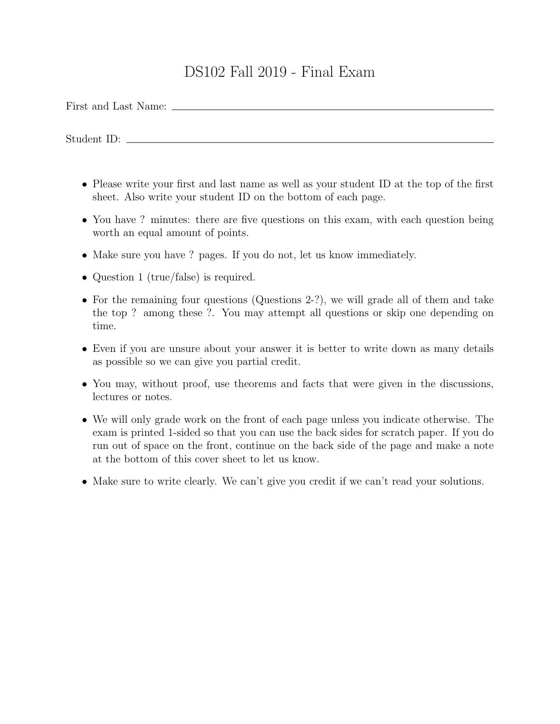## DS102 Fall 2019 - Final Exam

First and Last Name:

Student ID:

- Please write your first and last name as well as your student ID at the top of the first sheet. Also write your student ID on the bottom of each page.
- You have ? minutes: there are five questions on this exam, with each question being worth an equal amount of points.
- Make sure you have ? pages. If you do not, let us know immediately.
- Question 1 (true/false) is required.
- For the remaining four questions (Questions 2-?), we will grade all of them and take the top ? among these ?. You may attempt all questions or skip one depending on time.
- Even if you are unsure about your answer it is better to write down as many details as possible so we can give you partial credit.
- You may, without proof, use theorems and facts that were given in the discussions, lectures or notes.
- We will only grade work on the front of each page unless you indicate otherwise. The exam is printed 1-sided so that you can use the back sides for scratch paper. If you do run out of space on the front, continue on the back side of the page and make a note at the bottom of this cover sheet to let us know.
- Make sure to write clearly. We can't give you credit if we can't read your solutions.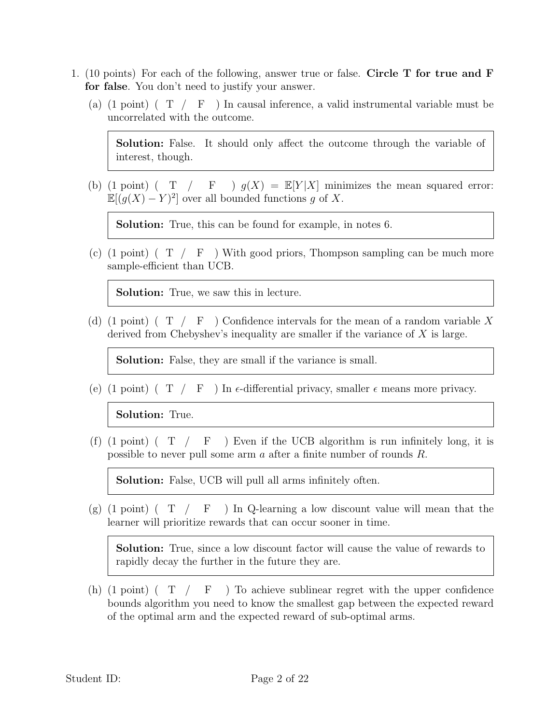- 1. (10 points) For each of the following, answer true or false. Circle T for true and F for false. You don't need to justify your answer.
	- (a) (1 point) ( $T / F$ ) In causal inference, a valid instrumental variable must be uncorrelated with the outcome.

Solution: False. It should only affect the outcome through the variable of interest, though.

(b) (1 point) ( T / F )  $g(X) = \mathbb{E}[Y|X]$  minimizes the mean squared error:  $\mathbb{E}[(g(X) - Y)^2]$  over all bounded functions g of X.

Solution: True, this can be found for example, in notes 6.

(c) (1 point) ( $T / F$ ) With good priors, Thompson sampling can be much more sample-efficient than UCB.

Solution: True, we saw this in lecture.

(d) (1 point) ( $T / F$ ) Confidence intervals for the mean of a random variable X derived from Chebyshev's inequality are smaller if the variance of  $X$  is large.

Solution: False, they are small if the variance is small.

(e) (1 point) (T / F) In  $\epsilon$ -differential privacy, smaller  $\epsilon$  means more privacy.

Solution: True.

(f)  $(1 \text{ point})$   $(T / F)$  Even if the UCB algorithm is run infinitely long, it is possible to never pull some arm a after a finite number of rounds R.

Solution: False, UCB will pull all arms infinitely often.

 $(g)$  (1 point) (T / F ) In Q-learning a low discount value will mean that the learner will prioritize rewards that can occur sooner in time.

Solution: True, since a low discount factor will cause the value of rewards to rapidly decay the further in the future they are.

(h)  $(1 \text{ point})$   $(T / F)$  To achieve sublinear regret with the upper confidence bounds algorithm you need to know the smallest gap between the expected reward of the optimal arm and the expected reward of sub-optimal arms.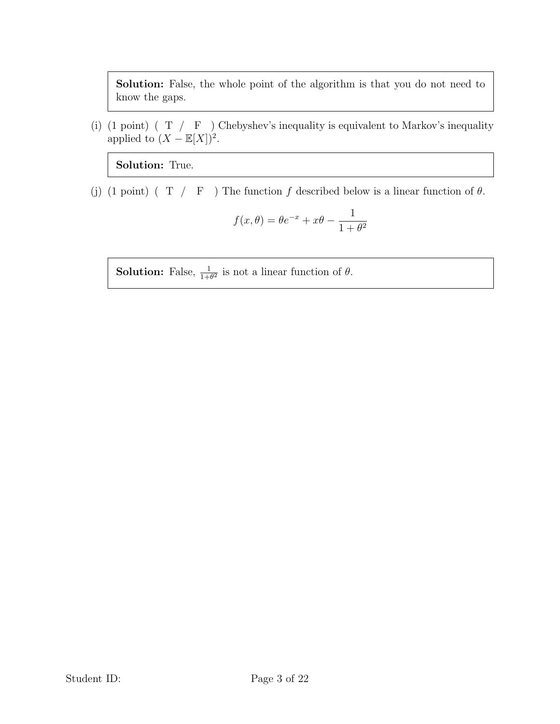Solution: False, the whole point of the algorithm is that you do not need to know the gaps.

(i) (1 point) ( T /  $\;$  F  $\;$  ) Chebyshev's inequality is equivalent to Markov's inequality applied to  $(X - \mathbb{E}[X])^2$ .

Solution: True.

(j) (1 point) ( T / F ) The function f described below is a linear function of  $\theta$ .

$$
f(x,\theta) = \theta e^{-x} + x\theta - \frac{1}{1+\theta^2}
$$

**Solution:** False,  $\frac{1}{1+\theta^2}$  is not a linear function of  $\theta$ .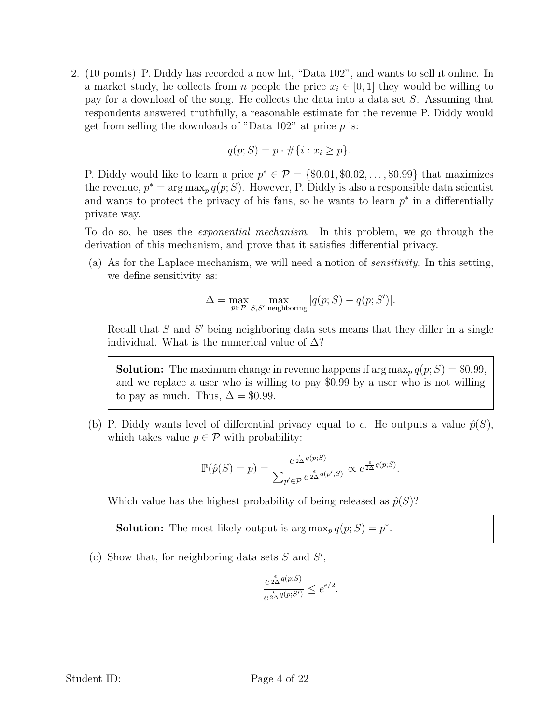2. (10 points) P. Diddy has recorded a new hit, "Data 102", and wants to sell it online. In a market study, he collects from n people the price  $x_i \in [0, 1]$  they would be willing to pay for a download of the song. He collects the data into a data set S. Assuming that respondents answered truthfully, a reasonable estimate for the revenue P. Diddy would get from selling the downloads of "Data  $102$ " at price  $p$  is:

$$
q(p;S) = p \cdot \# \{i : x_i \ge p\}.
$$

P. Diddy would like to learn a price  $p^* \in \mathcal{P} = \{\$0.01, \$0.02, \ldots, \$0.99\}$  that maximizes the revenue,  $p^* = \arg \max_p q(p; S)$ . However, P. Diddy is also a responsible data scientist and wants to protect the privacy of his fans, so he wants to learn  $p^*$  in a differentially private way.

To do so, he uses the exponential mechanism. In this problem, we go through the derivation of this mechanism, and prove that it satisfies differential privacy.

(a) As for the Laplace mechanism, we will need a notion of sensitivity. In this setting, we define sensitivity as:

$$
\Delta = \max_{p \in \mathcal{P}} \max_{S,S'} \max_{\text{neighboring}} |q(p;S) - q(p;S')|.
$$

Recall that  $S$  and  $S'$  being neighboring data sets means that they differ in a single individual. What is the numerical value of  $\Delta$ ?

**Solution:** The maximum change in revenue happens if  $\arg \max_{p} q(p; S) = \$0.99$ , and we replace a user who is willing to pay \$0.99 by a user who is not willing to pay as much. Thus,  $\Delta = \$0.99$ .

(b) P. Diddy wants level of differential privacy equal to  $\epsilon$ . He outputs a value  $\hat{p}(S)$ , which takes value  $p \in \mathcal{P}$  with probability:

$$
\mathbb{P}(\hat{p}(S) = p) = \frac{e^{\frac{\epsilon}{2\Delta}q(p;S)}}{\sum_{p' \in \mathcal{P}} e^{\frac{\epsilon}{2\Delta}q(p';S)}} \propto e^{\frac{\epsilon}{2\Delta}q(p;S)}.
$$

Which value has the highest probability of being released as  $\hat{p}(S)$ ?

**Solution:** The most likely output is  $\arg \max_{p} q(p; S) = p^*$ .

(c) Show that, for neighboring data sets  $S$  and  $S'$ ,

$$
\frac{e^{\frac{\epsilon}{2\Delta}q(p;S)}}{e^{\frac{\epsilon}{2\Delta}q(p;S')}} \leq e^{\epsilon/2}.
$$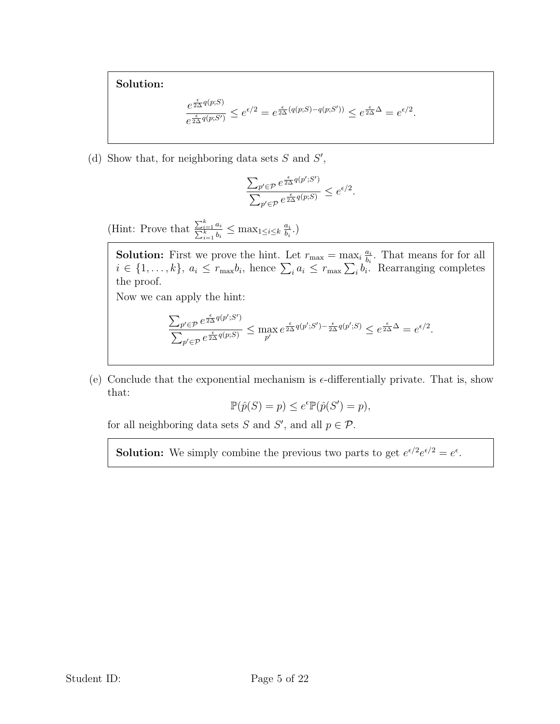## Solution:

$$
\frac{e^{\frac{\epsilon}{2\Delta}q(p;S')}}{e^{\frac{\epsilon}{2\Delta}q(p;S')}}\leq e^{\epsilon/2}=e^{\frac{\epsilon}{2\Delta}(q(p;S)-q(p;S'))}\leq e^{\frac{\epsilon}{2\Delta}\Delta}=e^{\epsilon/2}.
$$

(d) Show that, for neighboring data sets  $S$  and  $S'$ ,

$$
\frac{\sum_{p'\in \mathcal{P}} e^{\frac{\epsilon}{2\Delta}q(p';S')}}{\sum_{p'\in \mathcal{P}} e^{\frac{\epsilon}{2\Delta}q(p;S)}}\leq e^{\epsilon/2}.
$$

(Hint: Prove that  $\frac{\sum_{i=1}^{k}}{\sum_{i=1}^{k}}$  $\frac{\frac{i}{k-1}a_i}{\frac{k}{i-1}b_i} \leq \max_{1 \leq i \leq k} \frac{a_i}{b_i}$  $\frac{a_i}{b_i}$ .)

**Solution:** First we prove the hint. Let  $r_{\text{max}} = \max_i \frac{a_i}{b_i}$  $\frac{a_i}{b_i}$ . That means for for all  $i \in \{1, \ldots, k\}, a_i \leq r_{\text{max}}b_i$ , hence  $\sum_i a_i \leq r_{\text{max}}\sum_i b_i$ . Rearranging completes the proof.

Now we can apply the hint:

$$
\frac{\sum_{p'\in\mathcal{P}}e^{\frac{\epsilon}{2\Delta}q(p';S')}}{\sum_{p'\in\mathcal{P}}e^{\frac{\epsilon}{2\Delta}q(p;S)}}\leq \max_{p'}e^{\frac{\epsilon}{2\Delta}q(p';S')-\frac{\epsilon}{2\Delta}q(p';S)}\leq e^{\frac{\epsilon}{2\Delta}\Delta}=e^{\epsilon/2}.
$$

(e) Conclude that the exponential mechanism is  $\epsilon$ -differentially private. That is, show that:

$$
\mathbb{P}(\hat{p}(S) = p) \le e^{\epsilon} \mathbb{P}(\hat{p}(S') = p),
$$

for all neighboring data sets S and S', and all  $p \in \mathcal{P}$ .

**Solution:** We simply combine the previous two parts to get  $e^{\epsilon/2}e^{\epsilon/2} = e^{\epsilon}$ .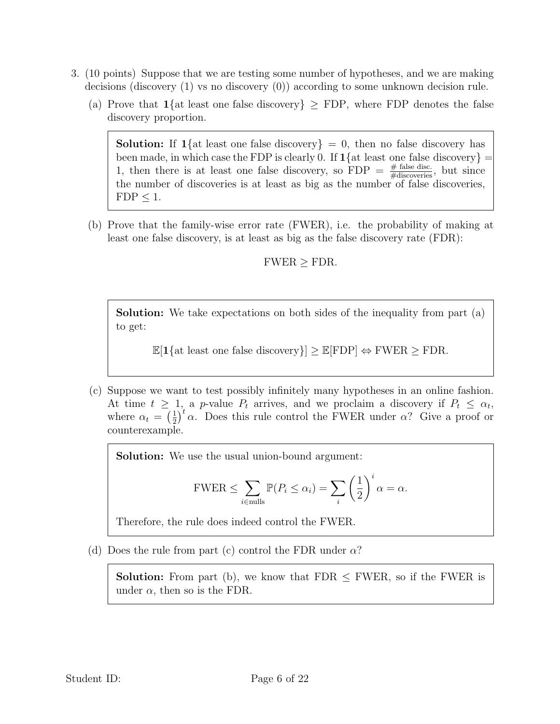- 3. (10 points) Suppose that we are testing some number of hypotheses, and we are making decisions (discovery (1) vs no discovery (0)) according to some unknown decision rule.
	- (a) Prove that  $1\{at least one false discovery\} \geq FDP$ , where FDP denotes the false discovery proportion.

**Solution:** If  $1\{at\}$  least one false discovery = 0, then no false discovery has been made, in which case the FDP is clearly 0. If  $1\{at$  least one false discovery = 1, then there is at least one false discovery, so  $FDP = \frac{\# \text{ false disc.}}{\# \text{discovers}}}$ , but since the number of discoveries is at least as big as the number of false discoveries,  $FDP \leq 1$ .

(b) Prove that the family-wise error rate (FWER), i.e. the probability of making at least one false discovery, is at least as big as the false discovery rate (FDR):

## $FWER > FDR$ .

Solution: We take expectations on both sides of the inequality from part (a) to get:

 $\mathbb{E}[1\{\text{at least one false discovery}\}] \geq \mathbb{E}[\text{FDP}] \Leftrightarrow \text{FWER} \geq \text{FDR}.$ 

(c) Suppose we want to test possibly infinitely many hypotheses in an online fashion. At time  $t \geq 1$ , a p-value  $P_t$  arrives, and we proclaim a discovery if  $P_t \leq \alpha_t$ , where  $\alpha_t = \left(\frac{1}{2}\right)$  $\frac{1}{2}$ <sup>t</sup>  $\alpha$ . Does this rule control the FWER under  $\alpha$ ? Give a proof or counterexample.

Solution: We use the usual union-bound argument:

$$
\text{FWER} \leq \sum_{i \in \text{nulls}} \mathbb{P}(P_i \leq \alpha_i) = \sum_i \left(\frac{1}{2}\right)^i \alpha = \alpha.
$$

Therefore, the rule does indeed control the FWER.

(d) Does the rule from part (c) control the FDR under  $\alpha$ ?

**Solution:** From part (b), we know that  $FDR \leq FWER$ , so if the FWER is under  $\alpha$ , then so is the FDR.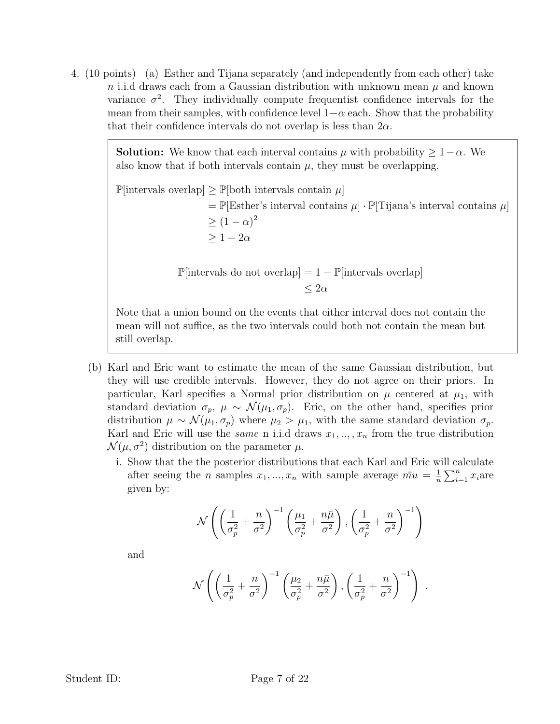4. (10 points) (a) Esther and Tijana separately (and independently from each other) take n i.i.d draws each from a Gaussian distribution with unknown mean  $\mu$  and known variance  $\sigma^2$ . They individually compute frequentist confidence intervals for the mean from their samples, with confidence level  $1-\alpha$  each. Show that the probability that their confidence intervals do not overlap is less than  $2\alpha$ .

> **Solution:** We know that each interval contains  $\mu$  with probability  $\geq 1-\alpha$ . We also know that if both intervals contain  $\mu$ , they must be overlapping.

 $\mathbb{P}[\text{intervals overlap}] \geq \mathbb{P}[\text{both intervals contain } \mu]$  $= \mathbb{P}[\text{Esther's interval contains } \mu] \cdot \mathbb{P}[\text{Tijana's interval contains } \mu]$  $\geq (1-\alpha)^2$  $> 1-2\alpha$ 

> $\mathbb{P}[\text{intervals do not overlap}] = 1 - \mathbb{P}[\text{intervals overlap}]$  $< 2\alpha$

Note that a union bound on the events that either interval does not contain the mean will not suffice, as the two intervals could both not contain the mean but still overlap.

- (b) Karl and Eric want to estimate the mean of the same Gaussian distribution, but they will use credible intervals. However, they do not agree on their priors. In particular, Karl specifies a Normal prior distribution on  $\mu$  centered at  $\mu_1$ , with standard deviation  $\sigma_p$ ,  $\mu \sim \mathcal{N}(\mu_1, \sigma_p)$ . Eric, on the other hand, specifies prior distribution  $\mu \sim \mathcal{N}(\mu_1, \sigma_p)$  where  $\mu_2 > \mu_1$ , with the same standard deviation  $\sigma_p$ . Karl and Eric will use the *same* n i.i.d draws  $x_1, \ldots, x_n$  from the true distribution  $\mathcal{N}(\mu, \sigma^2)$  distribution on the parameter  $\mu$ .
	- i. Show that the the posterior distributions that each Karl and Eric will calculate after seeing the *n* samples  $x_1, ..., x_n$  with sample average  $m\overline{u} = \frac{1}{n}$  $\frac{1}{n} \sum_{i=1}^{n} x_i$ are given by:

$$
\mathcal{N}\left(\left(\frac{1}{\sigma_p^2} + \frac{n}{\sigma^2}\right)^{-1} \left(\frac{\mu_1}{\sigma_p^2} + \frac{n\bar{\mu}}{\sigma^2}\right), \left(\frac{1}{\sigma_p^2} + \frac{n}{\sigma^2}\right)^{-1}\right)
$$

and

$$
\mathcal{N}\left(\left(\frac{1}{\sigma_p^2} + \frac{n}{\sigma^2}\right)^{-1}\left(\frac{\mu_2}{\sigma_p^2} + \frac{n\bar{\mu}}{\sigma^2}\right), \left(\frac{1}{\sigma_p^2} + \frac{n}{\sigma^2}\right)^{-1}\right) .
$$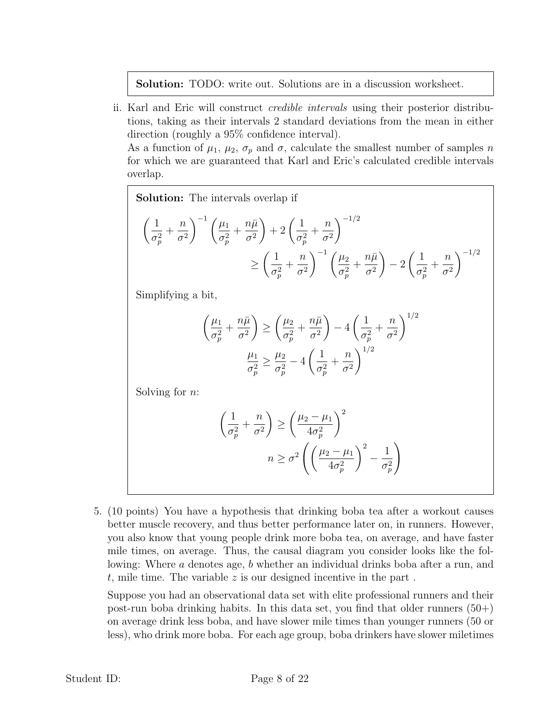Solution: TODO: write out. Solutions are in a discussion worksheet.

ii. Karl and Eric will construct credible intervals using their posterior distributions, taking as their intervals 2 standard deviations from the mean in either direction (roughly a 95% confidence interval).

As a function of  $\mu_1$ ,  $\mu_2$ ,  $\sigma_p$  and  $\sigma$ , calculate the smallest number of samples n for which we are guaranteed that Karl and Eric's calculated credible intervals overlap.

**Solution:** The intervals overlap if\n
$$
\left(\frac{1}{\sigma_p^2} + \frac{n}{\sigma^2}\right)^{-1} \left(\frac{\mu_1}{\sigma_p^2} + \frac{n\bar{\mu}}{\sigma^2}\right) + 2\left(\frac{1}{\sigma_p^2} + \frac{n}{\sigma^2}\right)^{-1/2} \ge \left(\frac{1}{\sigma_p^2} + \frac{n}{\sigma^2}\right)^{-1} \left(\frac{\mu_2}{\sigma_p^2} + \frac{n\bar{\mu}}{\sigma^2}\right) - 2\left(\frac{1}{\sigma_p^2} + \frac{n}{\sigma^2}\right)^{-1/2}
$$

Simplifying a bit,

$$
\left(\frac{\mu_1}{\sigma_p^2} + \frac{n\bar{\mu}}{\sigma^2}\right) \ge \left(\frac{\mu_2}{\sigma_p^2} + \frac{n\bar{\mu}}{\sigma^2}\right) - 4\left(\frac{1}{\sigma_p^2} + \frac{n}{\sigma^2}\right)^{1/2}
$$

$$
\frac{\mu_1}{\sigma_p^2} \ge \frac{\mu_2}{\sigma_p^2} - 4\left(\frac{1}{\sigma_p^2} + \frac{n}{\sigma^2}\right)^{1/2}
$$

Solving for  $n$ :

$$
\left(\frac{1}{\sigma_p^2} + \frac{n}{\sigma^2}\right) \ge \left(\frac{\mu_2 - \mu_1}{4\sigma_p^2}\right)^2
$$

$$
n \ge \sigma^2 \left(\left(\frac{\mu_2 - \mu_1}{4\sigma_p^2}\right)^2 - \frac{1}{\sigma_p^2}\right)
$$

5. (10 points) You have a hypothesis that drinking boba tea after a workout causes better muscle recovery, and thus better performance later on, in runners. However, you also know that young people drink more boba tea, on average, and have faster mile times, on average. Thus, the causal diagram you consider looks like the following: Where a denotes age, b whether an individual drinks boba after a run, and  $t$ , mile time. The variable  $z$  is our designed incentive in the part.

Suppose you had an observational data set with elite professional runners and their post-run boba drinking habits. In this data set, you find that older runners  $(50+)$ on average drink less boba, and have slower mile times than younger runners (50 or less), who drink more boba. For each age group, boba drinkers have slower miletimes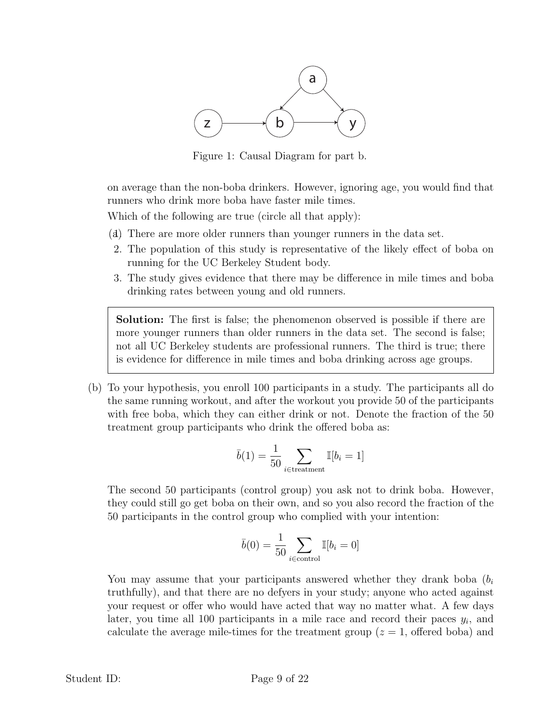

Figure 1: Causal Diagram for part b.

on average than the non-boba drinkers. However, ignoring age, you would find that runners who drink more boba have faster mile times.

Which of the following are true (circle all that apply):

- (a)1. There are more older runners than younger runners in the data set.
- 2. The population of this study is representative of the likely effect of boba on running for the UC Berkeley Student body.
- 3. The study gives evidence that there may be difference in mile times and boba drinking rates between young and old runners.

Solution: The first is false; the phenomenon observed is possible if there are more younger runners than older runners in the data set. The second is false; not all UC Berkeley students are professional runners. The third is true; there is evidence for difference in mile times and boba drinking across age groups.

(b) To your hypothesis, you enroll 100 participants in a study. The participants all do the same running workout, and after the workout you provide 50 of the participants with free boba, which they can either drink or not. Denote the fraction of the 50 treatment group participants who drink the offered boba as:

$$
\bar{b}(1) = \frac{1}{50} \sum_{i \in \text{treatment}} \mathbb{I}[b_i = 1]
$$

The second 50 participants (control group) you ask not to drink boba. However, they could still go get boba on their own, and so you also record the fraction of the 50 participants in the control group who complied with your intention:

$$
\bar{b}(0) = \frac{1}{50} \sum_{i \in \text{control}} \mathbb{I}[b_i = 0]
$$

You may assume that your participants answered whether they drank boba  $(b<sub>i</sub>)$ truthfully), and that there are no defyers in your study; anyone who acted against your request or offer who would have acted that way no matter what. A few days later, you time all 100 participants in a mile race and record their paces  $y_i$ , and calculate the average mile-times for the treatment group  $(z = 1, \text{ offered boba})$  and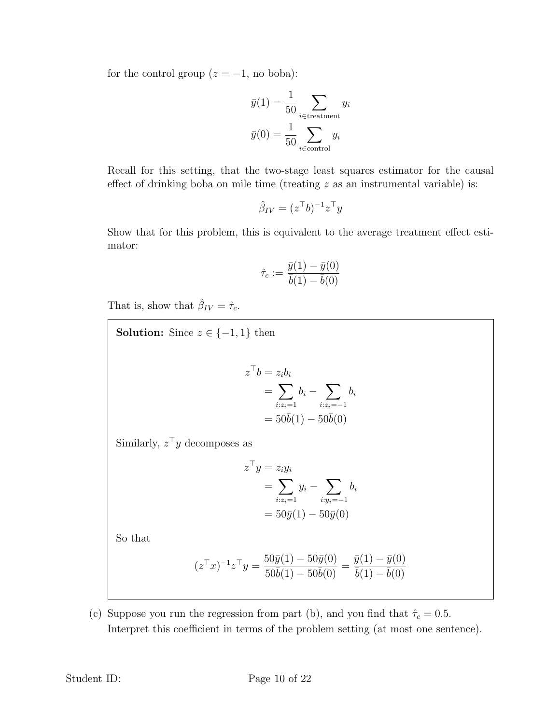for the control group  $(z = -1)$ , no boba):

$$
\bar{y}(1) = \frac{1}{50} \sum_{i \in \text{treatment}} y_i
$$

$$
\bar{y}(0) = \frac{1}{50} \sum_{i \in \text{control}} y_i
$$

Recall for this setting, that the two-stage least squares estimator for the causal effect of drinking boba on mile time (treating  $z$  as an instrumental variable) is:

$$
\hat{\beta}_{IV} = (z^{\top}b)^{-1}z^{\top}y
$$

Show that for this problem, this is equivalent to the average treatment effect estimator:

$$
\hat{\tau}_c := \frac{\bar{y}(1) - \bar{y}(0)}{\bar{b}(1) - \bar{b}(0)}
$$

That is, show that  $\hat{\beta}_{IV} = \hat{\tau}_c$ .

**Solution:** Since  $z \in \{-1, 1\}$  then  $z^{\top}b=z_ib_i$  $=$   $\sum$  $i:z_i=1$  $b_i - \sum$  $i:z_i=-1$  $b_i$  $= 50\bar{b}(1) - 50\bar{b}(0)$ Similarly,  $z^{\top}y$  decomposes as  $z^{\top}y = z_iy_i$  $=$   $\sum$  $i:z_i=1$  $y_i - \sum$  $i:y_i=-1$  $b_i$  $= 50\bar{y}(1) - 50\bar{y}(0)$ So that

$$
(z^{\top}x)^{-1}z^{\top}y = \frac{50\bar{y}(1) - 50\bar{y}(0)}{50\bar{b}(1) - 50\bar{b}(0)} = \frac{\bar{y}(1) - \bar{y}(0)}{\bar{b}(1) - \bar{b}(0)}
$$

(c) Suppose you run the regression from part (b), and you find that  $\hat{\tau}_c = 0.5$ . Interpret this coefficient in terms of the problem setting (at most one sentence).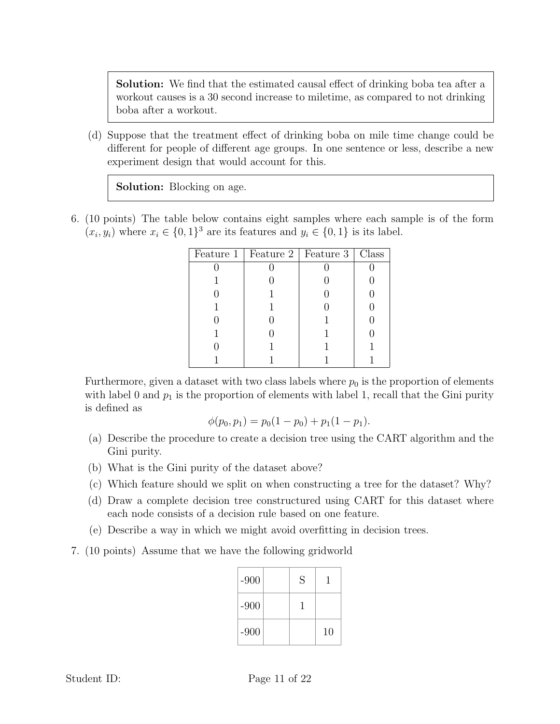Solution: We find that the estimated causal effect of drinking boba tea after a workout causes is a 30 second increase to miletime, as compared to not drinking boba after a workout.

(d) Suppose that the treatment effect of drinking boba on mile time change could be different for people of different age groups. In one sentence or less, describe a new experiment design that would account for this.

Solution: Blocking on age.

6. (10 points) The table below contains eight samples where each sample is of the form  $(x_i, y_i)$  where  $x_i \in \{0, 1\}^3$  are its features and  $y_i \in \{0, 1\}$  is its label.

| Feature 1   Feature 2   Feature 3   Class |  |
|-------------------------------------------|--|
|                                           |  |
|                                           |  |
|                                           |  |
|                                           |  |
|                                           |  |
|                                           |  |
|                                           |  |
|                                           |  |

Furthermore, given a dataset with two class labels where  $p_0$  is the proportion of elements with label 0 and  $p_1$  is the proportion of elements with label 1, recall that the Gini purity is defined as

$$
\phi(p_0, p_1) = p_0(1 - p_0) + p_1(1 - p_1).
$$

- (a) Describe the procedure to create a decision tree using the CART algorithm and the Gini purity.
- (b) What is the Gini purity of the dataset above?
- (c) Which feature should we split on when constructing a tree for the dataset? Why?
- (d) Draw a complete decision tree constructured using CART for this dataset where each node consists of a decision rule based on one feature.
- (e) Describe a way in which we might avoid overfitting in decision trees.
- 7. (10 points) Assume that we have the following gridworld

| $-900$ | S |    |
|--------|---|----|
| $-900$ |   |    |
| $-900$ |   | 10 |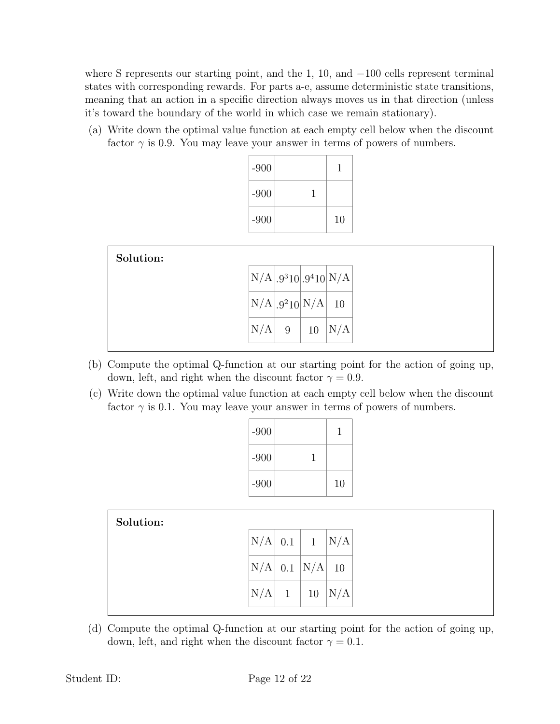where S represents our starting point, and the 1, 10, and  $-100$  cells represent terminal states with corresponding rewards. For parts a-e, assume deterministic state transitions, meaning that an action in a specific direction always moves us in that direction (unless it's toward the boundary of the world in which case we remain stationary).

(a) Write down the optimal value function at each empty cell below when the discount factor  $\gamma$  is 0.9. You may leave your answer in terms of powers of numbers.

| $-900$ |    |
|--------|----|
| $-900$ |    |
| $-900$ | 10 |

| $\bigl {\rm N}/\mathrm{A}\bigr .9^3 10\bigr .9^4 10\bigr {\rm N}/\mathrm{A}\bigr $<br>$N/A$ 9 <sup>2</sup> 10 $N/A$ 10<br>' A | Solution: |   |    |     |
|-------------------------------------------------------------------------------------------------------------------------------|-----------|---|----|-----|
|                                                                                                                               |           |   |    |     |
|                                                                                                                               |           |   |    |     |
|                                                                                                                               | N/        | 9 | 10 | N/A |

- (b) Compute the optimal Q-function at our starting point for the action of going up, down, left, and right when the discount factor  $\gamma = 0.9$ .
- (c) Write down the optimal value function at each empty cell below when the discount factor  $\gamma$  is 0.1. You may leave your answer in terms of powers of numbers.

| $-900$ |  |    |
|--------|--|----|
| $-900$ |  |    |
| $-900$ |  | 10 |

| Solution: |     |              |                                 |     |
|-----------|-----|--------------|---------------------------------|-----|
|           | N/A |              | $\mid 0.1 \mid 1 \mid N/A \mid$ |     |
|           | N/A |              | $0.1$ N/A 10                    |     |
|           | N/A | $\mathbf{1}$ | 10                              | N/A |

(d) Compute the optimal Q-function at our starting point for the action of going up, down, left, and right when the discount factor  $\gamma = 0.1$ .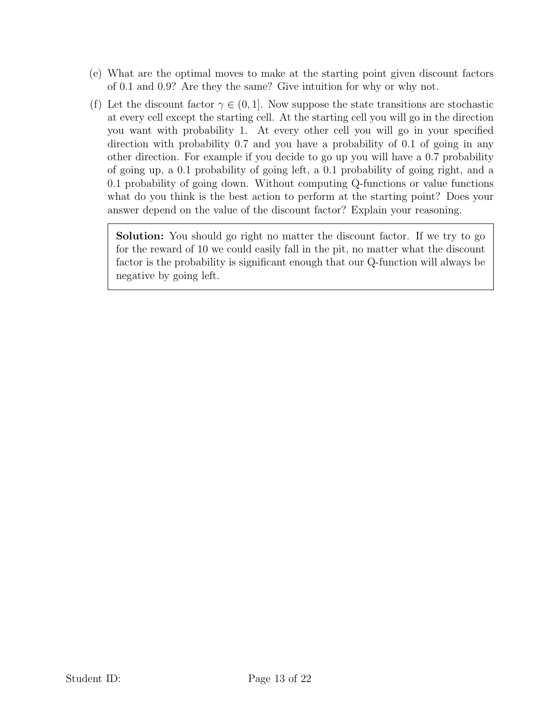- (e) What are the optimal moves to make at the starting point given discount factors of 0.1 and 0.9? Are they the same? Give intuition for why or why not.
- (f) Let the discount factor  $\gamma \in (0,1]$ . Now suppose the state transitions are stochastic at every cell except the starting cell. At the starting cell you will go in the direction you want with probability 1. At every other cell you will go in your specified direction with probability 0.7 and you have a probability of 0.1 of going in any other direction. For example if you decide to go up you will have a 0.7 probability of going up, a 0.1 probability of going left, a 0.1 probability of going right, and a 0.1 probability of going down. Without computing Q-functions or value functions what do you think is the best action to perform at the starting point? Does your answer depend on the value of the discount factor? Explain your reasoning.

Solution: You should go right no matter the discount factor. If we try to go for the reward of 10 we could easily fall in the pit, no matter what the discount factor is the probability is significant enough that our Q-function will always be negative by going left.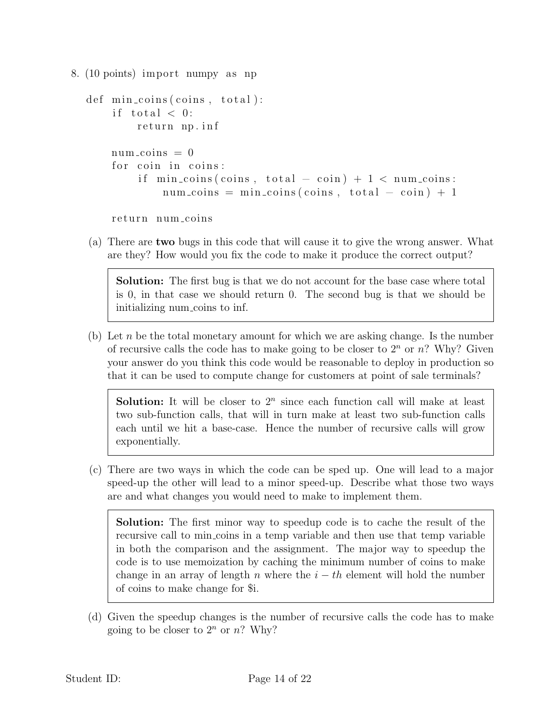```
8. (10 points) import numpy as np
```

```
def \ min_c coins(coints, total):if total < 0:
     return np. inf
num\_coins = 0for coin in coins:
     if \min_{\text{coins}} (\text{coins}, \text{total} - \text{coin}) + 1 < \text{num-coins}:
          num\_coints = min\_coints(coints, total - coin) + 1
```
return num\_coins

(a) There are two bugs in this code that will cause it to give the wrong answer. What are they? How would you fix the code to make it produce the correct output?

Solution: The first bug is that we do not account for the base case where total is 0, in that case we should return 0. The second bug is that we should be initializing num coins to inf.

(b) Let  $n$  be the total monetary amount for which we are asking change. Is the number of recursive calls the code has to make going to be closer to  $2<sup>n</sup>$  or n? Why? Given your answer do you think this code would be reasonable to deploy in production so that it can be used to compute change for customers at point of sale terminals?

**Solution:** It will be closer to  $2^n$  since each function call will make at least two sub-function calls, that will in turn make at least two sub-function calls each until we hit a base-case. Hence the number of recursive calls will grow exponentially.

(c) There are two ways in which the code can be sped up. One will lead to a major speed-up the other will lead to a minor speed-up. Describe what those two ways are and what changes you would need to make to implement them.

Solution: The first minor way to speedup code is to cache the result of the recursive call to min coins in a temp variable and then use that temp variable in both the comparison and the assignment. The major way to speedup the code is to use memoization by caching the minimum number of coins to make change in an array of length n where the  $i - th$  element will hold the number of coins to make change for \$i.

(d) Given the speedup changes is the number of recursive calls the code has to make going to be closer to  $2^n$  or n? Why?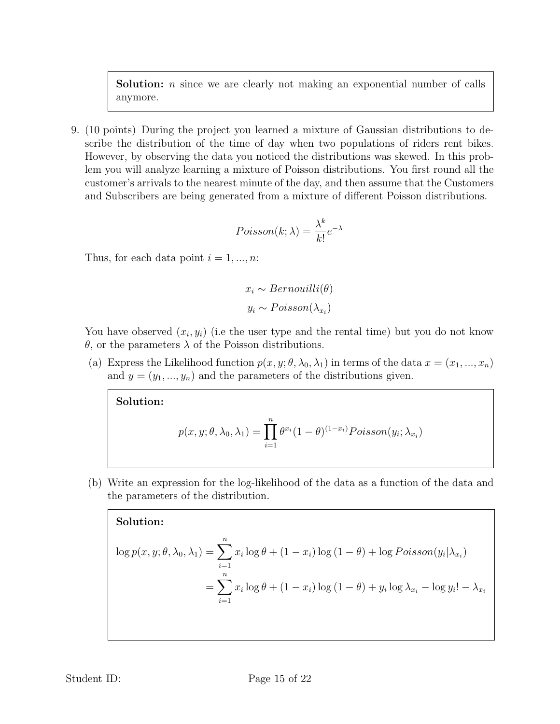Solution: *n* since we are clearly not making an exponential number of calls anymore.

9. (10 points) During the project you learned a mixture of Gaussian distributions to describe the distribution of the time of day when two populations of riders rent bikes. However, by observing the data you noticed the distributions was skewed. In this problem you will analyze learning a mixture of Poisson distributions. You first round all the customer's arrivals to the nearest minute of the day, and then assume that the Customers and Subscribers are being generated from a mixture of different Poisson distributions.

$$
Poisson(k; \lambda) = \frac{\lambda^k}{k!} e^{-\lambda}
$$

Thus, for each data point  $i = 1, ..., n$ :

$$
x_i \sim Bernouilli(\theta)
$$

$$
y_i \sim Poisson(\lambda_{x_i})
$$

You have observed  $(x_i, y_i)$  (i.e the user type and the rental time) but you do not know θ, or the parameters λ of the Poisson distributions.

(a) Express the Likelihood function  $p(x, y; \theta, \lambda_0, \lambda_1)$  in terms of the data  $x = (x_1, ..., x_n)$ and  $y = (y_1, ..., y_n)$  and the parameters of the distributions given.

Solution:

$$
p(x, y; \theta, \lambda_0, \lambda_1) = \prod_{i=1}^n \theta^{x_i} (1 - \theta)^{(1 - x_i)} Poisson(y_i; \lambda_{x_i})
$$

(b) Write an expression for the log-likelihood of the data as a function of the data and the parameters of the distribution.

Solution:

$$
\log p(x, y; \theta, \lambda_0, \lambda_1) = \sum_{i=1}^n x_i \log \theta + (1 - x_i) \log (1 - \theta) + \log Poisson(y_i | \lambda_{x_i})
$$

$$
= \sum_{i=1}^n x_i \log \theta + (1 - x_i) \log (1 - \theta) + y_i \log \lambda_{x_i} - \log y_i! - \lambda_{x_i}
$$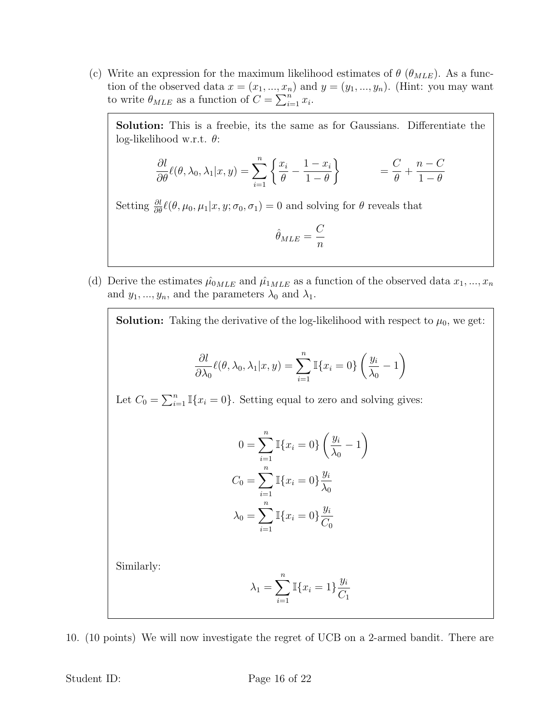(c) Write an expression for the maximum likelihood estimates of  $\theta$  ( $\theta_{MLE}$ ). As a function of the observed data  $x = (x_1, ..., x_n)$  and  $y = (y_1, ..., y_n)$ . (Hint: you may want to write  $\theta_{MLE}$  as a function of  $C = \sum_{i=1}^{n} x_i$ .

Solution: This is a freebie, its the same as for Gaussians. Differentiate the log-likelihood w.r.t.  $\theta$ :

$$
\frac{\partial l}{\partial \theta} \ell(\theta, \lambda_0, \lambda_1 | x, y) = \sum_{i=1}^n \left\{ \frac{x_i}{\theta} - \frac{1 - x_i}{1 - \theta} \right\} \qquad = \frac{C}{\theta} + \frac{n - C}{1 - \theta}
$$

Setting  $\frac{\partial l}{\partial \theta} \ell(\theta, \mu_0, \mu_1 | x, y; \sigma_0, \sigma_1) = 0$  and solving for  $\theta$  reveals that

$$
\hat{\theta}_{MLE}=\frac{C}{n}
$$

(d) Derive the estimates  $\hat{\mu}_{0MLE}$  and  $\hat{\mu}_{1MLE}$  as a function of the observed data  $x_1, ..., x_n$ and  $y_1, ..., y_n$ , and the parameters  $\lambda_0$  and  $\lambda_1$ .

**Solution:** Taking the derivative of the log-likelihood with respect to  $\mu_0$ , we get: ∂l  $\partial \lambda_0$  $\ell(\theta, \lambda_0, \lambda_1|x, y) = \sum_{n=1}^n$  $i=1$  $\mathbb{I}\{x_i=0\}\left(\frac{y_i}{y} \right)$  $\lambda_0$ − 1  $\setminus$ Let  $C_0 = \sum_{i=1}^n \mathbb{I}\{x_i = 0\}$ . Setting equal to zero and solving gives:  $0 = \sum_{i=1}^{n} \mathbb{I}\{x_i = 0\} \left( \frac{y_i}{y_i} \right)$  $i=1$  $\lambda_0$ − 1  $\setminus$  $C_0 = \sum_{n=1}^{n}$  $i=1$  $\mathbb{I}\{x_i=0\}\frac{y_i}{\lambda}$  $\lambda_0$  $\lambda_0 = \sum^n$  $i=1$  $\mathbb{I}\{x_i=0\}\frac{y_i}{C}$  $C_0$ 

Similarly:

$$
\lambda_1 = \sum_{i=1}^n \mathbb{I}\{x_i = 1\} \frac{y_i}{C_1}
$$

10. (10 points) We will now investigate the regret of UCB on a 2-armed bandit. There are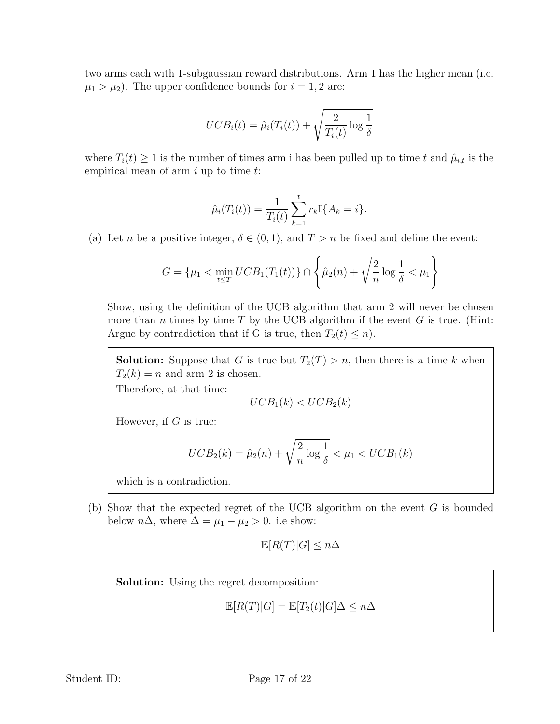two arms each with 1-subgaussian reward distributions. Arm 1 has the higher mean (i.e.  $\mu_1 > \mu_2$ ). The upper confidence bounds for  $i = 1, 2$  are:

$$
UCB_i(t) = \hat{\mu}_i(T_i(t)) + \sqrt{\frac{2}{T_i(t)} \log \frac{1}{\delta}}
$$

where  $T_i(t) \geq 1$  is the number of times arm i has been pulled up to time t and  $\hat{\mu}_{i,t}$  is the empirical mean of arm  $i$  up to time  $t$ :

$$
\hat{\mu}_i(T_i(t)) = \frac{1}{T_i(t)} \sum_{k=1}^t r_k \mathbb{I}\{A_k = i\}.
$$

(a) Let n be a positive integer,  $\delta \in (0,1)$ , and  $T > n$  be fixed and define the event:

$$
G = \{\mu_1 < \min_{t \le T} UCB_1(T_1(t))\} \cap \left\{\hat{\mu}_2(n) + \sqrt{\frac{2}{n} \log \frac{1}{\delta}} < \mu_1\right\}
$$

Show, using the definition of the UCB algorithm that arm 2 will never be chosen more than *n* times by time  $T$  by the UCB algorithm if the event  $G$  is true. (Hint: Argue by contradiction that if G is true, then  $T_2(t) \leq n$ .

**Solution:** Suppose that G is true but  $T_2(T) > n$ , then there is a time k when  $T_2(k) = n$  and arm 2 is chosen. Therefore, at that time:

$$
UCB_1(k) < UCB_2(k)
$$

However, if  $G$  is true:

$$
UCB_2(k) = \hat{\mu}_2(n) + \sqrt{\frac{2}{n} \log \frac{1}{\delta}} < \mu_1 < UCB_1(k)
$$

which is a contradiction.

(b) Show that the expected regret of the UCB algorithm on the event  $G$  is bounded below  $n\Delta$ , where  $\Delta = \mu_1 - \mu_2 > 0$ . i.e show:

$$
\mathbb{E}[R(T)|G] \le n\Delta
$$

Solution: Using the regret decomposition:

$$
\mathbb{E}[R(T)|G] = \mathbb{E}[T_2(t)|G]\Delta \le n\Delta
$$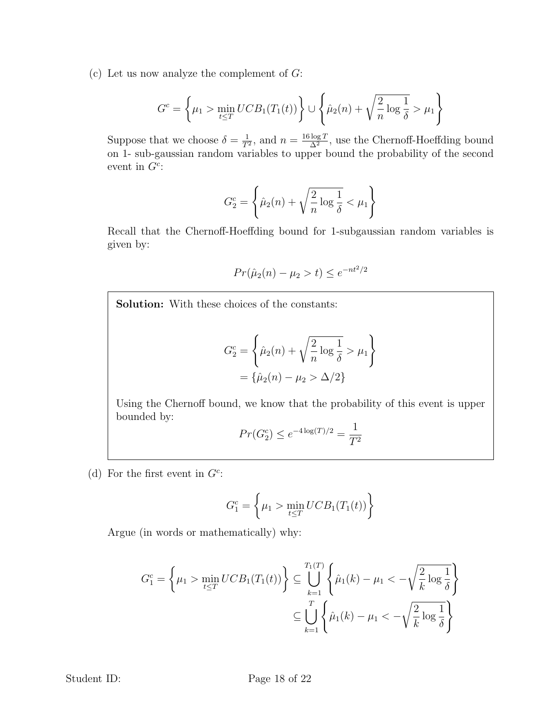(c) Let us now analyze the complement of  $G$ :

$$
G^{c} = \left\{ \mu_{1} > \min_{t \leq T} UCB_{1}(T_{1}(t)) \right\} \cup \left\{ \hat{\mu}_{2}(n) + \sqrt{\frac{2}{n} \log \frac{1}{\delta}} > \mu_{1} \right\}
$$

Suppose that we choose  $\delta = \frac{1}{T}$  $\frac{1}{T^2}$ , and  $n = \frac{16 \log T}{\Delta^2}$  $\frac{\log T}{\Delta^2}$ , use the Chernoff-Hoeffding bound on 1- sub-gaussian random variables to upper bound the probability of the second event in  $G^c$ :

$$
G_2^c = \left\{\hat{\mu}_2(n) + \sqrt{\frac{2}{n}\log\frac{1}{\delta}} < \mu_1\right\}
$$

Recall that the Chernoff-Hoeffding bound for 1-subgaussian random variables is given by:

$$
Pr(\hat{\mu}_2(n) - \mu_2 > t) \le e^{-nt^2/2}
$$

Solution: With these choices of the constants:

$$
G_2^c = \left\{ \hat{\mu}_2(n) + \sqrt{\frac{2}{n} \log \frac{1}{\delta}} > \mu_1 \right\}
$$
  
=  $\{ \hat{\mu}_2(n) - \mu_2 > \Delta/2 \}$ 

Using the Chernoff bound, we know that the probability of this event is upper bounded by:

$$
Pr(G_2^c) \le e^{-4\log(T)/2} = \frac{1}{T^2}
$$

(d) For the first event in  $G^c$ :

$$
G_1^c = \left\{ \mu_1 > \min_{t \le T} UCB_1(T_1(t)) \right\}
$$

Argue (in words or mathematically) why:

$$
G_1^c = \left\{ \mu_1 > \min_{t \le T} UCB_1(T_1(t)) \right\} \subseteq \bigcup_{k=1}^{T_1(T)} \left\{ \hat{\mu}_1(k) - \mu_1 < -\sqrt{\frac{2}{k} \log \frac{1}{\delta}} \right\}
$$

$$
\subseteq \bigcup_{k=1}^{T} \left\{ \hat{\mu}_1(k) - \mu_1 < -\sqrt{\frac{2}{k} \log \frac{1}{\delta}} \right\}
$$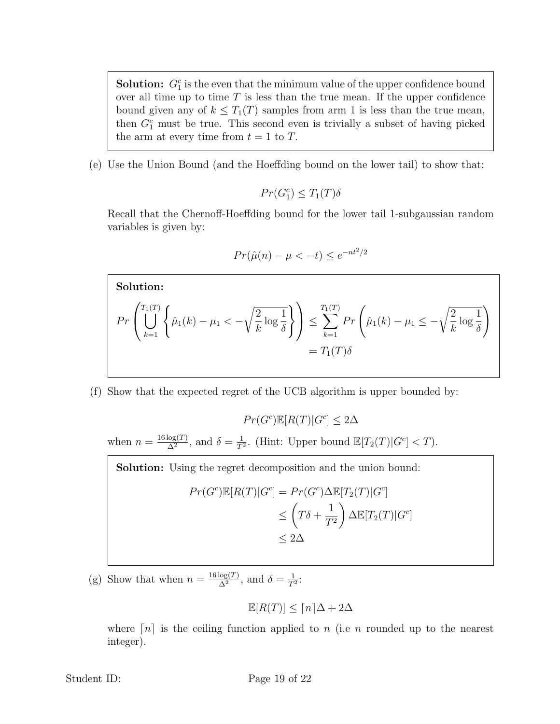**Solution:**  $G_1^c$  is the even that the minimum value of the upper confidence bound over all time up to time  $T$  is less than the true mean. If the upper confidence bound given any of  $k \leq T_1(T)$  samples from arm 1 is less than the true mean, then  $G_1^c$  must be true. This second even is trivially a subset of having picked the arm at every time from  $t = 1$  to T.

(e) Use the Union Bound (and the Hoeffding bound on the lower tail) to show that:

$$
Pr(G_1^c) \leq T_1(T)\delta
$$

Recall that the Chernoff-Hoeffding bound for the lower tail 1-subgaussian random variables is given by:

$$
Pr(\hat{\mu}(n) - \mu < -t) \le e^{-nt^2/2}
$$

Solution:  
\n
$$
Pr\left(\bigcup_{k=1}^{T_1(T)} \left\{\hat{\mu}_1(k) - \mu_1 < -\sqrt{\frac{2}{k}} \log \frac{1}{\delta}\right\}\right) \le \sum_{k=1}^{T_1(T)} Pr\left(\hat{\mu}_1(k) - \mu_1 \le -\sqrt{\frac{2}{k}} \log \frac{1}{\delta}\right)
$$
\n
$$
= T_1(T)\delta
$$

(f) Show that the expected regret of the UCB algorithm is upper bounded by:

$$
Pr(G^c)\mathbb{E}[R(T)|G^c] \le 2\Delta
$$

when  $n = \frac{16 \log(T)}{\Delta^2}$  $\frac{\log(T)}{\Delta^2}$ , and  $\delta = \frac{1}{T^2}$  $\frac{1}{T^2}$ . (Hint: Upper bound  $\mathbb{E}[T_2(T)|G^c] < T$ ).

Solution: Using the regret decomposition and the union bound:

$$
Pr(G^c) \mathbb{E}[R(T)|G^c] = Pr(G^c) \Delta \mathbb{E}[T_2(T)|G^c]
$$
  
\n
$$
\leq \left(T\delta + \frac{1}{T^2}\right) \Delta \mathbb{E}[T_2(T)|G^c]
$$
  
\n
$$
\leq 2\Delta
$$

(g) Show that when  $n = \frac{16 \log(T)}{\Delta^2}$  $\frac{\log(T)}{\Delta^2}$ , and  $\delta = \frac{1}{T^2}$  $\frac{1}{T^2}$ :

$$
\mathbb{E}[R(T)] \leq \lceil n \rceil \Delta + 2\Delta
$$

where  $[n]$  is the ceiling function applied to n (i.e n rounded up to the nearest integer).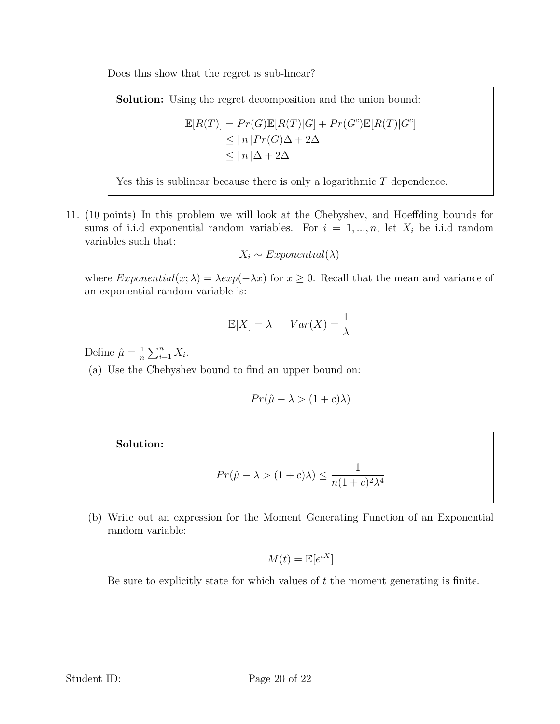Does this show that the regret is sub-linear?

Solution: Using the regret decomposition and the union bound:

$$
\mathbb{E}[R(T)] = Pr(G)\mathbb{E}[R(T)|G] + Pr(G^c)\mathbb{E}[R(T)|G^c]
$$
  
\n
$$
\leq [n]Pr(G)\Delta + 2\Delta
$$
  
\n
$$
\leq [n]\Delta + 2\Delta
$$

Yes this is sublinear because there is only a logarithmic T dependence.

11. (10 points) In this problem we will look at the Chebyshev, and Hoeffding bounds for sums of i.i.d exponential random variables. For  $i = 1, ..., n$ , let  $X_i$  be i.i.d random variables such that:

$$
X_i \sim Exponential(\lambda)
$$

where  $Exponential(x; \lambda) = \lambda exp(-\lambda x)$  for  $x \ge 0$ . Recall that the mean and variance of an exponential random variable is:

$$
\mathbb{E}[X] = \lambda \qquad Var(X) = \frac{1}{\lambda}
$$

Define  $\hat{\mu} = \frac{1}{n}$  $\frac{1}{n} \sum_{i=1}^n X_i$ .

(a) Use the Chebyshev bound to find an upper bound on:

$$
Pr(\hat{\mu} - \lambda > (1 + c)\lambda)
$$

## Solution:

$$
Pr(\hat{\mu} - \lambda > (1 + c)\lambda) \le \frac{1}{n(1 + c)^2 \lambda^4}
$$

(b) Write out an expression for the Moment Generating Function of an Exponential random variable:

$$
M(t) = \mathbb{E}[e^{tX}]
$$

Be sure to explicitly state for which values of  $t$  the moment generating is finite.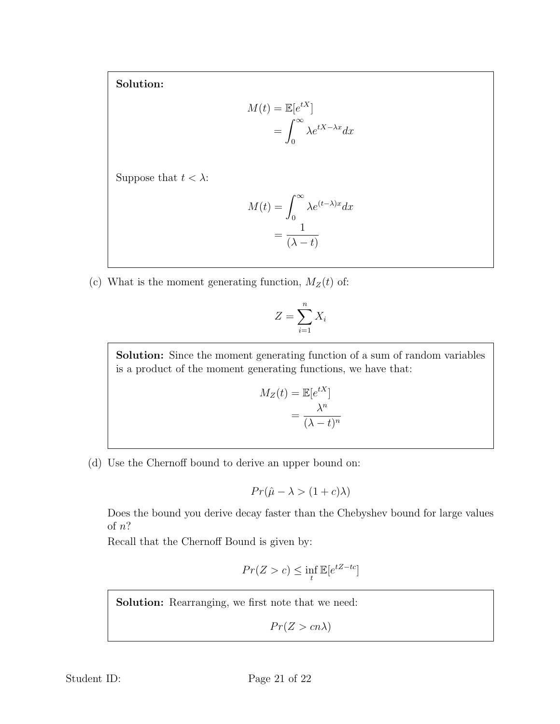Solution:

$$
M(t) = \mathbb{E}[e^{tX}]
$$

$$
= \int_0^\infty \lambda e^{tX - \lambda x} dx
$$

Suppose that  $t < \lambda$ :

$$
M(t) = \int_0^\infty \lambda e^{(t-\lambda)x} dx
$$

$$
= \frac{1}{(\lambda - t)}
$$

(c) What is the moment generating function,  $M_Z(t)$  of:

$$
Z = \sum_{i=1}^{n} X_i
$$

Solution: Since the moment generating function of a sum of random variables is a product of the moment generating functions, we have that:

$$
M_Z(t) = \mathbb{E}[e^{tX}]
$$

$$
= \frac{\lambda^n}{(\lambda - t)^n}
$$

(d) Use the Chernoff bound to derive an upper bound on:

$$
Pr(\hat{\mu} - \lambda > (1 + c)\lambda)
$$

Does the bound you derive decay faster than the Chebyshev bound for large values of n?

Recall that the Chernoff Bound is given by:

$$
Pr(Z > c) \le \inf_{t} \mathbb{E}[e^{tZ - tc}]
$$

Solution: Rearranging, we first note that we need:

 $Pr(Z > cn\lambda)$